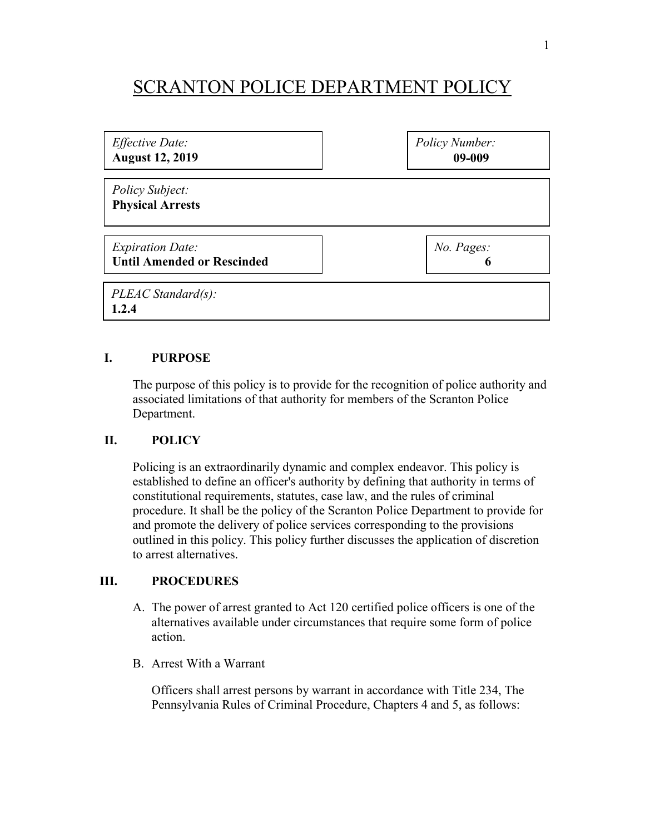## SCRANTON POLICE DEPARTMENT POLICY

*Effective Date:* **August 12, 2019** *Policy Number:* **09-009**

*Policy Subject:*  **Physical Arrests**

*Expiration Date:* **Until Amended or Rescinded** *No. Pages:* 

**6**

*PLEAC Standard(s):* **1.2.4**

## **I. PURPOSE**

The purpose of this policy is to provide for the recognition of police authority and associated limitations of that authority for members of the Scranton Police Department.

## **II. POLICY**

Policing is an extraordinarily dynamic and complex endeavor. This policy is established to define an officer's authority by defining that authority in terms of constitutional requirements, statutes, case law, and the rules of criminal procedure. It shall be the policy of the Scranton Police Department to provide for and promote the delivery of police services corresponding to the provisions outlined in this policy. This policy further discusses the application of discretion to arrest alternatives.

## **III. PROCEDURES**

- A. The power of arrest granted to Act 120 certified police officers is one of the alternatives available under circumstances that require some form of police action.
- B. Arrest With a Warrant

Officers shall arrest persons by warrant in accordance with Title 234, The Pennsylvania Rules of Criminal Procedure, Chapters 4 and 5, as follows: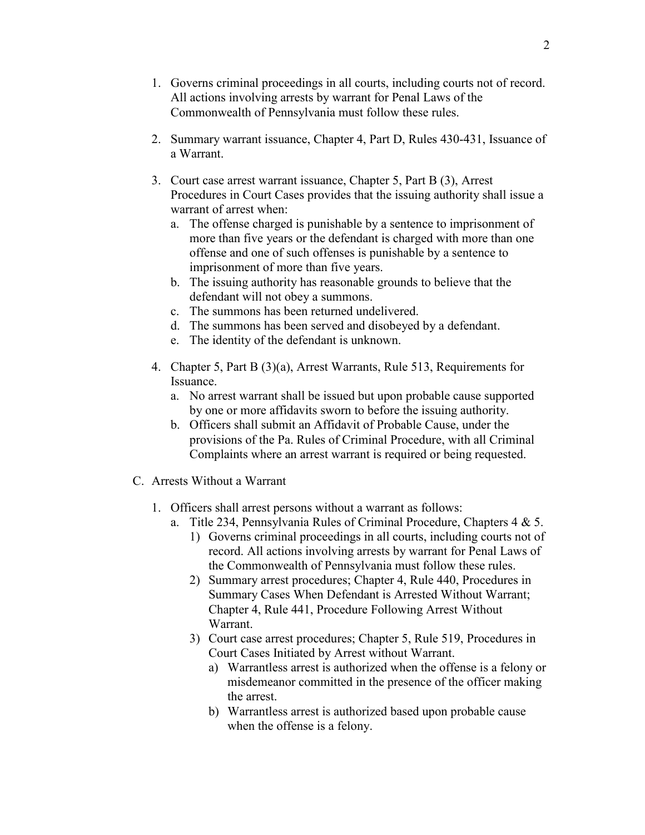- 1. Governs criminal proceedings in all courts, including courts not of record. All actions involving arrests by warrant for Penal Laws of the Commonwealth of Pennsylvania must follow these rules.
- 2. Summary warrant issuance, Chapter 4, Part D, Rules 430-431, Issuance of a Warrant.
- 3. Court case arrest warrant issuance, Chapter 5, Part B (3), Arrest Procedures in Court Cases provides that the issuing authority shall issue a warrant of arrest when:
	- a. The offense charged is punishable by a sentence to imprisonment of more than five years or the defendant is charged with more than one offense and one of such offenses is punishable by a sentence to imprisonment of more than five years.
	- b. The issuing authority has reasonable grounds to believe that the defendant will not obey a summons.
	- c. The summons has been returned undelivered.
	- d. The summons has been served and disobeyed by a defendant.
	- e. The identity of the defendant is unknown.
- 4. Chapter 5, Part B (3)(a), Arrest Warrants, Rule 513, Requirements for Issuance.
	- a. No arrest warrant shall be issued but upon probable cause supported by one or more affidavits sworn to before the issuing authority.
	- b. Officers shall submit an Affidavit of Probable Cause, under the provisions of the Pa. Rules of Criminal Procedure, with all Criminal Complaints where an arrest warrant is required or being requested.
- C. Arrests Without a Warrant
	- 1. Officers shall arrest persons without a warrant as follows:
		- a. Title 234, Pennsylvania Rules of Criminal Procedure, Chapters 4 & 5.
			- 1) Governs criminal proceedings in all courts, including courts not of record. All actions involving arrests by warrant for Penal Laws of the Commonwealth of Pennsylvania must follow these rules.
			- 2) Summary arrest procedures; Chapter 4, Rule 440, Procedures in Summary Cases When Defendant is Arrested Without Warrant; Chapter 4, Rule 441, Procedure Following Arrest Without Warrant.
			- 3) Court case arrest procedures; Chapter 5, Rule 519, Procedures in Court Cases Initiated by Arrest without Warrant.
				- a) Warrantless arrest is authorized when the offense is a felony or misdemeanor committed in the presence of the officer making the arrest.
				- b) Warrantless arrest is authorized based upon probable cause when the offense is a felony.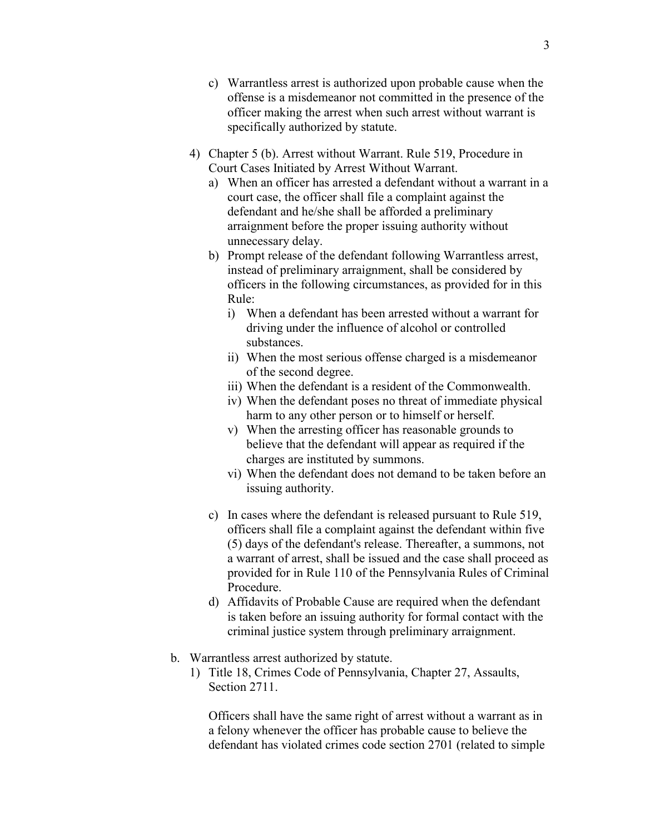- c) Warrantless arrest is authorized upon probable cause when the offense is a misdemeanor not committed in the presence of the officer making the arrest when such arrest without warrant is specifically authorized by statute.
- 4) Chapter 5 (b). Arrest without Warrant. Rule 519, Procedure in Court Cases Initiated by Arrest Without Warrant.
	- a) When an officer has arrested a defendant without a warrant in a court case, the officer shall file a complaint against the defendant and he/she shall be afforded a preliminary arraignment before the proper issuing authority without unnecessary delay.
	- b) Prompt release of the defendant following Warrantless arrest, instead of preliminary arraignment, shall be considered by officers in the following circumstances, as provided for in this Rule:
		- i) When a defendant has been arrested without a warrant for driving under the influence of alcohol or controlled substances.
		- ii) When the most serious offense charged is a misdemeanor of the second degree.
		- iii) When the defendant is a resident of the Commonwealth.
		- iv) When the defendant poses no threat of immediate physical harm to any other person or to himself or herself.
		- v) When the arresting officer has reasonable grounds to believe that the defendant will appear as required if the charges are instituted by summons.
		- vi) When the defendant does not demand to be taken before an issuing authority.
	- c) In cases where the defendant is released pursuant to Rule 519, officers shall file a complaint against the defendant within five (5) days of the defendant's release. Thereafter, a summons, not a warrant of arrest, shall be issued and the case shall proceed as provided for in Rule 110 of the Pennsylvania Rules of Criminal Procedure.
	- d) Affidavits of Probable Cause are required when the defendant is taken before an issuing authority for formal contact with the criminal justice system through preliminary arraignment.
- b. Warrantless arrest authorized by statute.
	- 1) Title 18, Crimes Code of Pennsylvania, Chapter 27, Assaults, Section 2711.

Officers shall have the same right of arrest without a warrant as in a felony whenever the officer has probable cause to believe the defendant has violated crimes code section 2701 (related to simple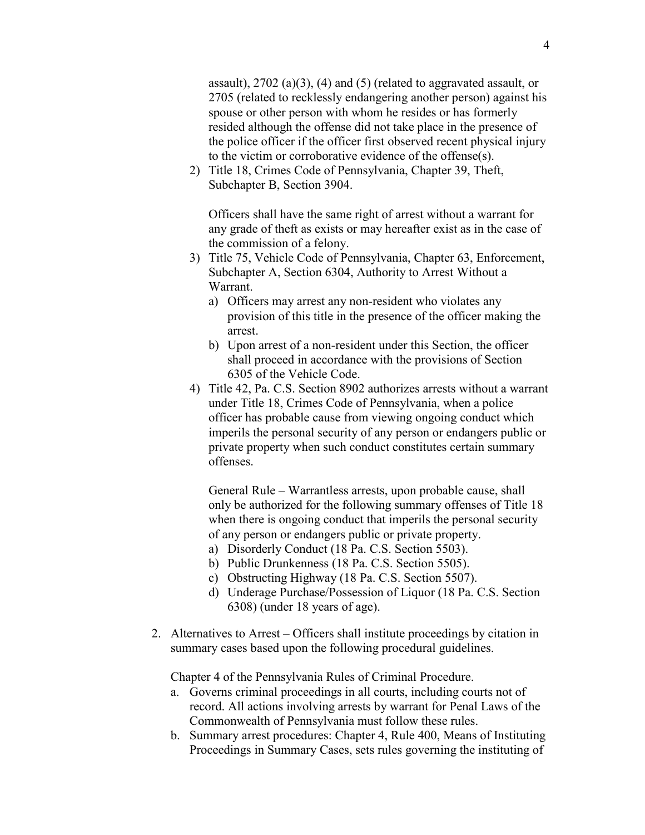assault), 2702 (a)(3), (4) and (5) (related to aggravated assault, or 2705 (related to recklessly endangering another person) against his spouse or other person with whom he resides or has formerly resided although the offense did not take place in the presence of the police officer if the officer first observed recent physical injury to the victim or corroborative evidence of the offense(s).

2) Title 18, Crimes Code of Pennsylvania, Chapter 39, Theft, Subchapter B, Section 3904.

Officers shall have the same right of arrest without a warrant for any grade of theft as exists or may hereafter exist as in the case of the commission of a felony.

- 3) Title 75, Vehicle Code of Pennsylvania, Chapter 63, Enforcement, Subchapter A, Section 6304, Authority to Arrest Without a Warrant.
	- a) Officers may arrest any non-resident who violates any provision of this title in the presence of the officer making the arrest.
	- b) Upon arrest of a non-resident under this Section, the officer shall proceed in accordance with the provisions of Section 6305 of the Vehicle Code.
- 4) Title 42, Pa. C.S. Section 8902 authorizes arrests without a warrant under Title 18, Crimes Code of Pennsylvania, when a police officer has probable cause from viewing ongoing conduct which imperils the personal security of any person or endangers public or private property when such conduct constitutes certain summary offenses.

General Rule – Warrantless arrests, upon probable cause, shall only be authorized for the following summary offenses of Title 18 when there is ongoing conduct that imperils the personal security of any person or endangers public or private property.

- a) Disorderly Conduct (18 Pa. C.S. Section 5503).
- b) Public Drunkenness (18 Pa. C.S. Section 5505).
- c) Obstructing Highway (18 Pa. C.S. Section 5507).
- d) Underage Purchase/Possession of Liquor (18 Pa. C.S. Section 6308) (under 18 years of age).
- 2. Alternatives to Arrest Officers shall institute proceedings by citation in summary cases based upon the following procedural guidelines.

Chapter 4 of the Pennsylvania Rules of Criminal Procedure.

- a. Governs criminal proceedings in all courts, including courts not of record. All actions involving arrests by warrant for Penal Laws of the Commonwealth of Pennsylvania must follow these rules.
- b. Summary arrest procedures: Chapter 4, Rule 400, Means of Instituting Proceedings in Summary Cases, sets rules governing the instituting of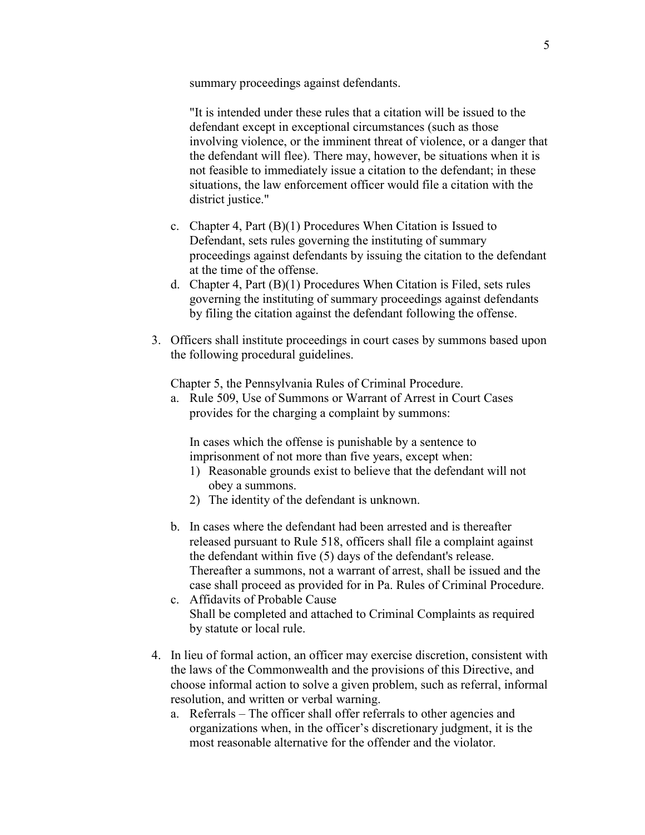summary proceedings against defendants.

"It is intended under these rules that a citation will be issued to the defendant except in exceptional circumstances (such as those involving violence, or the imminent threat of violence, or a danger that the defendant will flee). There may, however, be situations when it is not feasible to immediately issue a citation to the defendant; in these situations, the law enforcement officer would file a citation with the district justice."

- c. Chapter 4, Part (B)(1) Procedures When Citation is Issued to Defendant, sets rules governing the instituting of summary proceedings against defendants by issuing the citation to the defendant at the time of the offense.
- d. Chapter 4, Part (B)(1) Procedures When Citation is Filed, sets rules governing the instituting of summary proceedings against defendants by filing the citation against the defendant following the offense.
- 3. Officers shall institute proceedings in court cases by summons based upon the following procedural guidelines.

Chapter 5, the Pennsylvania Rules of Criminal Procedure.

a. Rule 509, Use of Summons or Warrant of Arrest in Court Cases provides for the charging a complaint by summons:

In cases which the offense is punishable by a sentence to imprisonment of not more than five years, except when:

- 1) Reasonable grounds exist to believe that the defendant will not obey a summons.
- 2) The identity of the defendant is unknown.
- b. In cases where the defendant had been arrested and is thereafter released pursuant to Rule 518, officers shall file a complaint against the defendant within five (5) days of the defendant's release. Thereafter a summons, not a warrant of arrest, shall be issued and the case shall proceed as provided for in Pa. Rules of Criminal Procedure.
- c. Affidavits of Probable Cause Shall be completed and attached to Criminal Complaints as required by statute or local rule.
- 4. In lieu of formal action, an officer may exercise discretion, consistent with the laws of the Commonwealth and the provisions of this Directive, and choose informal action to solve a given problem, such as referral, informal resolution, and written or verbal warning.
	- a. Referrals The officer shall offer referrals to other agencies and organizations when, in the officer's discretionary judgment, it is the most reasonable alternative for the offender and the violator.